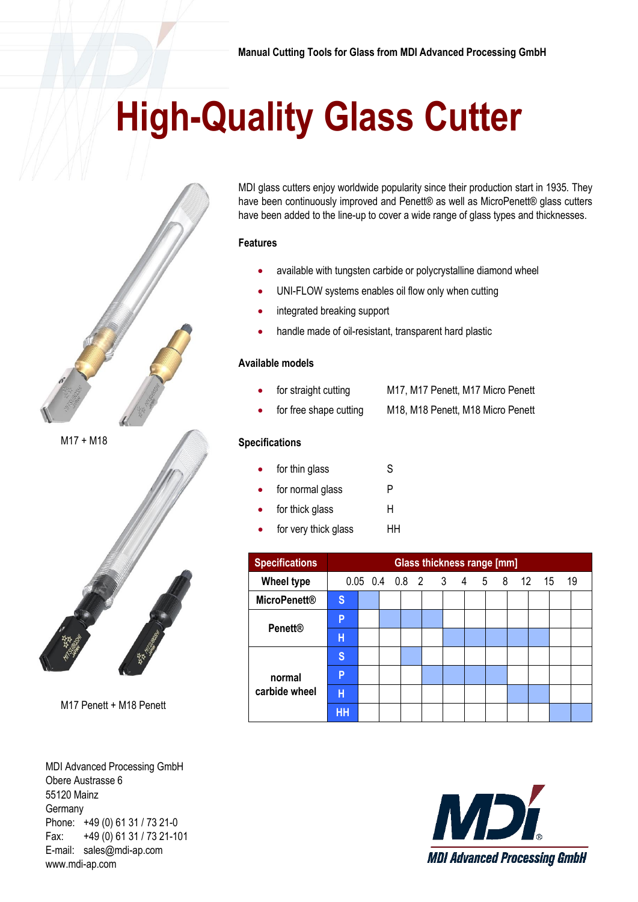# **High-Quality Glass Cutter**





M17 Penett + M18 Penett

MDI Advanced Processing GmbH Obere Austrasse 6 55120 Mainz Germany Phone: +49 (0) 61 31 / 73 21-0 Fax: +49 (0) 61 31 / 73 21-101 E-mail: sales@mdi-ap.com www.mdi-ap.com

MDI glass cutters enjoy worldwide popularity since their production start in 1935. They have been continuously improved and Penett® as well as MicroPenett® glass cutters have been added to the line-up to cover a wide range of glass types and thicknesses.

### **Features**

- available with tungsten carbide or polycrystalline diamond wheel
- UNI-FLOW systems enables oil flow only when cutting
- integrated breaking support
- handle made of oil-resistant, transparent hard plastic

### **Available models**

- for straight cutting M17, M17 Penett, M17 Micro Penett
- for free shape cutting M18, M18 Penett, M18 Micro Penett

### **Specifications**

- for thin glass S
- for normal glass P
- for thick glass H
	- for very thick glass HH

| <b>Specifications</b>   | Glass thickness range [mm]   |  |  |  |  |  |  |  |  |  |  |    |
|-------------------------|------------------------------|--|--|--|--|--|--|--|--|--|--|----|
| <b>Wheel type</b>       | 0.05 0.4 0.8 2 3 4 5 8 12 15 |  |  |  |  |  |  |  |  |  |  | 19 |
| <b>MicroPenett®</b>     | S                            |  |  |  |  |  |  |  |  |  |  |    |
| <b>Penett®</b>          | P                            |  |  |  |  |  |  |  |  |  |  |    |
|                         | H                            |  |  |  |  |  |  |  |  |  |  |    |
| normal<br>carbide wheel | S                            |  |  |  |  |  |  |  |  |  |  |    |
|                         | P                            |  |  |  |  |  |  |  |  |  |  |    |
|                         | н                            |  |  |  |  |  |  |  |  |  |  |    |
|                         | HH                           |  |  |  |  |  |  |  |  |  |  |    |